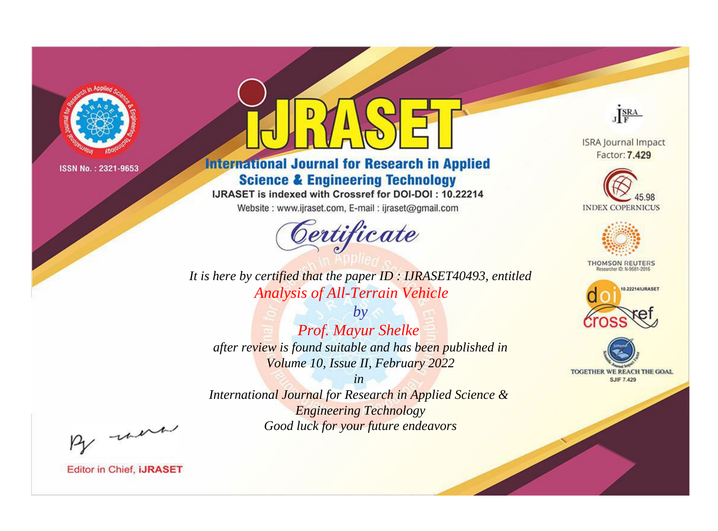

# **International Journal for Research in Applied Science & Engineering Technology**

IJRASET is indexed with Crossref for DOI-DOI: 10.22214

Website: www.ijraset.com, E-mail: ijraset@gmail.com



JERA

**ISRA Journal Impact** Factor: 7.429





**THOMSON REUTERS** 



TOGETHER WE REACH THE GOAL **SJIF 7.429** 

It is here by certified that the paper ID: IJRASET40493, entitled **Analysis of All-Terrain Vehicle** 

 $by$ Prof. Mayur Shelke after review is found suitable and has been published in Volume 10, Issue II, February 2022

 $in$ International Journal for Research in Applied Science & **Engineering Technology** Good luck for your future endeavors

By morn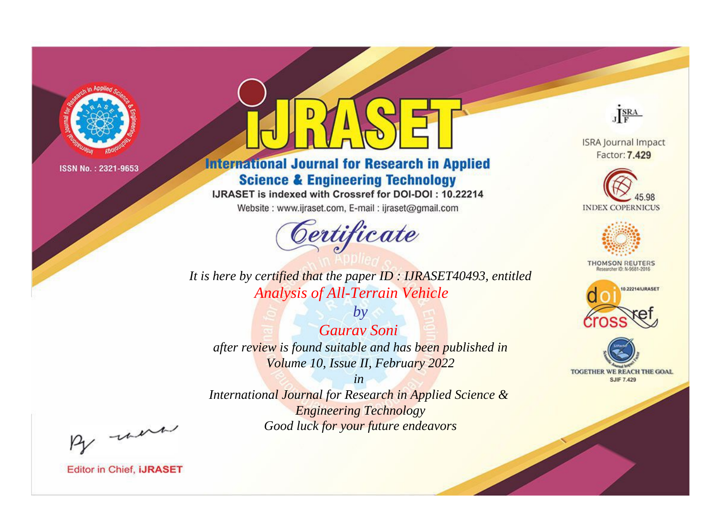

# **International Journal for Research in Applied Science & Engineering Technology**

IJRASET is indexed with Crossref for DOI-DOI: 10.22214

Website: www.ijraset.com, E-mail: ijraset@gmail.com



JERA

**ISRA Journal Impact** Factor: 7.429





**THOMSON REUTERS** 



TOGETHER WE REACH THE GOAL **SJIF 7.429** 

It is here by certified that the paper ID: IJRASET40493, entitled **Analysis of All-Terrain Vehicle** 

 $by$ **Gauray Soni** after review is found suitable and has been published in Volume 10, Issue II, February 2022

 $in$ International Journal for Research in Applied Science & **Engineering Technology** Good luck for your future endeavors

By morn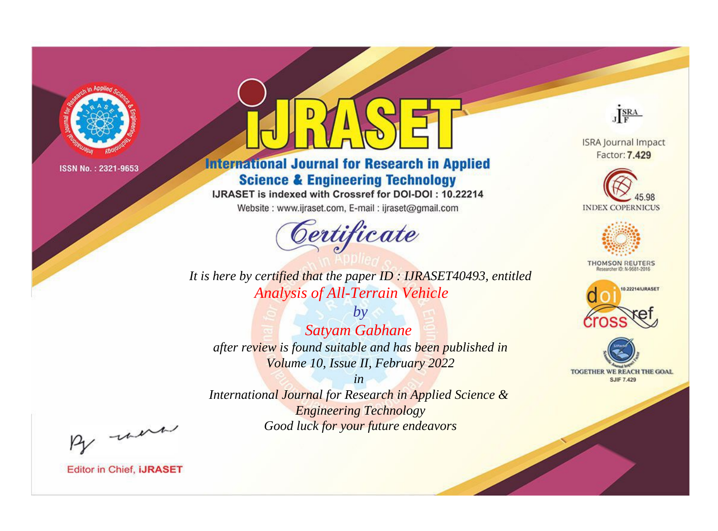

# **International Journal for Research in Applied Science & Engineering Technology**

IJRASET is indexed with Crossref for DOI-DOI: 10.22214

Website: www.ijraset.com, E-mail: ijraset@gmail.com



JERA

**ISRA Journal Impact** Factor: 7.429





**THOMSON REUTERS** 



TOGETHER WE REACH THE GOAL **SJIF 7.429** 

It is here by certified that the paper ID: IJRASET40493, entitled **Analysis of All-Terrain Vehicle** 

 $by$ **Satyam Gabhane** after review is found suitable and has been published in Volume 10, Issue II, February 2022

 $in$ International Journal for Research in Applied Science & **Engineering Technology** Good luck for your future endeavors

By morn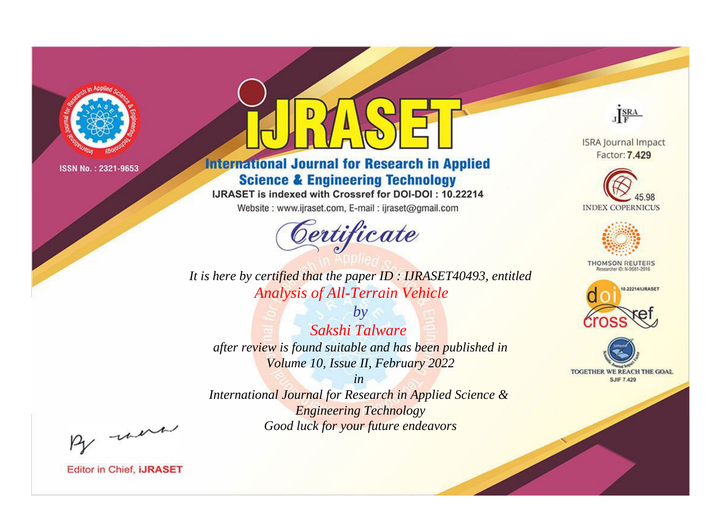

# **International Journal for Research in Applied Science & Engineering Technology**

IJRASET is indexed with Crossref for DOI-DOI: 10.22214

Website: www.ijraset.com, E-mail: ijraset@gmail.com



JERA

**ISRA Journal Impact** Factor: 7.429





**THOMSON REUTERS** 



TOGETHER WE REACH THE GOAL **SJIF 7.429** 

It is here by certified that the paper ID: IJRASET40493, entitled **Analysis of All-Terrain Vehicle** 

 $by$ Sakshi Talware after review is found suitable and has been published in Volume 10, Issue II, February 2022

 $in$ International Journal for Research in Applied Science & **Engineering Technology** Good luck for your future endeavors

By morn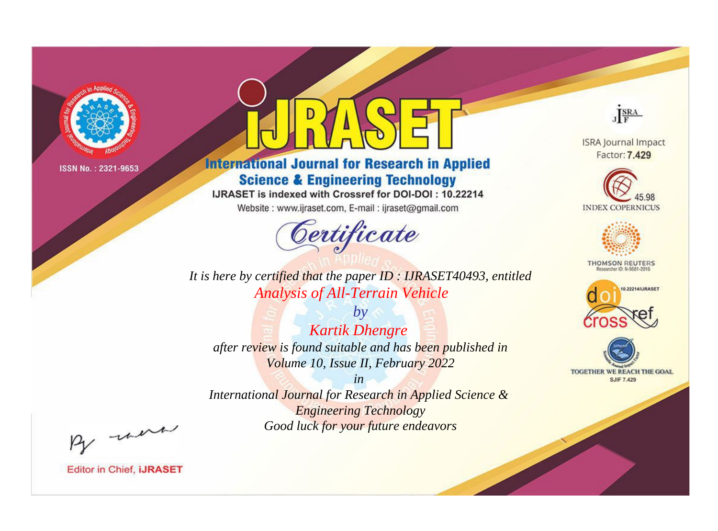

# **International Journal for Research in Applied Science & Engineering Technology**

IJRASET is indexed with Crossref for DOI-DOI: 10.22214

Website: www.ijraset.com, E-mail: ijraset@gmail.com



JERA

**ISRA Journal Impact** Factor: 7.429





**THOMSON REUTERS** 



TOGETHER WE REACH THE GOAL **SJIF 7.429** 

It is here by certified that the paper ID: IJRASET40493, entitled **Analysis of All-Terrain Vehicle** 

 $by$ **Kartik Dhengre** after review is found suitable and has been published in Volume 10, Issue II, February 2022

 $in$ International Journal for Research in Applied Science & **Engineering Technology** Good luck for your future endeavors

By morn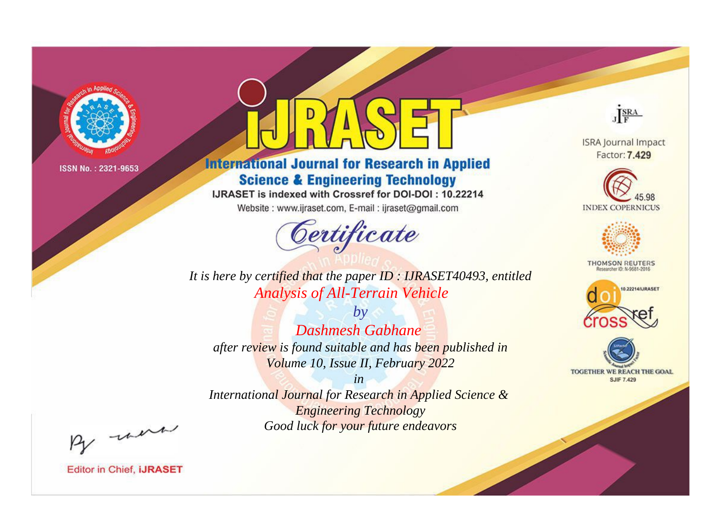

# **International Journal for Research in Applied Science & Engineering Technology**

IJRASET is indexed with Crossref for DOI-DOI: 10.22214

Website: www.ijraset.com, E-mail: ijraset@gmail.com



JERA

**ISRA Journal Impact** Factor: 7.429





**THOMSON REUTERS** 



TOGETHER WE REACH THE GOAL **SJIF 7.429** 

It is here by certified that the paper ID: IJRASET40493, entitled **Analysis of All-Terrain Vehicle** 

 $b\nu$ **Dashmesh Gabhane** after review is found suitable and has been published in Volume 10, Issue II, February 2022

 $in$ International Journal for Research in Applied Science & **Engineering Technology** Good luck for your future endeavors

By morn